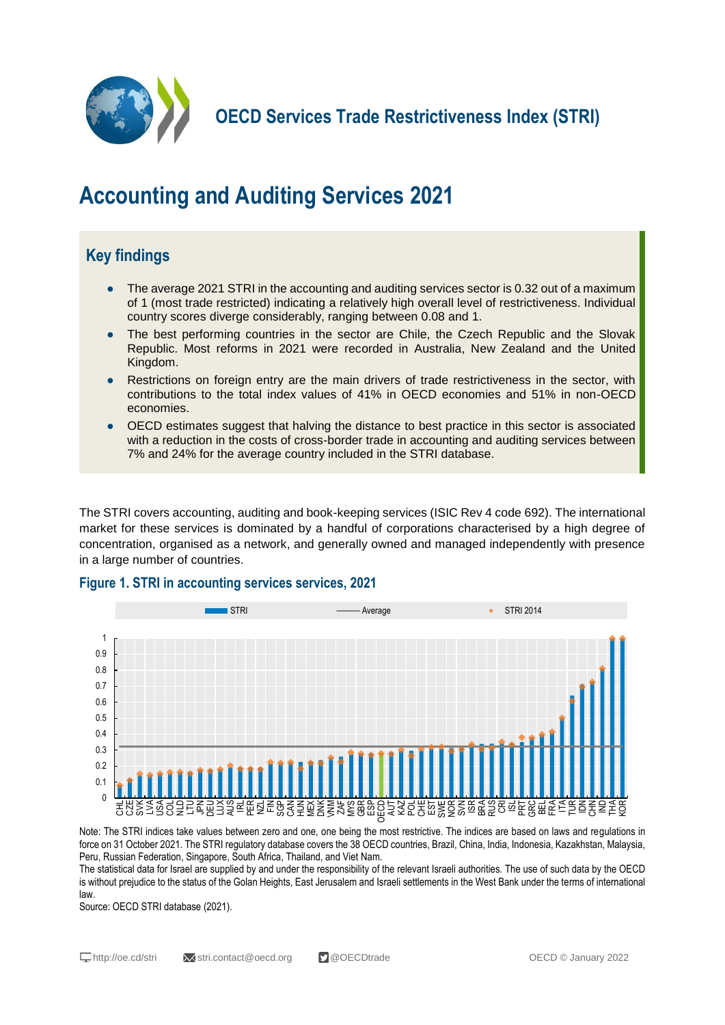

**OECD Services Trade Restrictiveness Index (STRI)**

# **Accounting and Auditing Services 2021**

## **Key findings**

- The average 2021 STRI in the accounting and auditing services sector is 0.32 out of a maximum of 1 (most trade restricted) indicating a relatively high overall level of restrictiveness. Individual country scores diverge considerably, ranging between 0.08 and 1.
- The best performing countries in the sector are Chile, the Czech Republic and the Slovak Republic. Most reforms in 2021 were recorded in Australia, New Zealand and the United Kingdom.
- Restrictions on foreign entry are the main drivers of trade restrictiveness in the sector, with contributions to the total index values of 41% in OECD economies and 51% in non-OECD economies.
- OECD estimates suggest that halving the distance to best practice in this sector is associated with a reduction in the costs of cross-border trade in accounting and auditing services between 7% and 24% for the average country included in the STRI database.

The STRI covers accounting, auditing and book-keeping services (ISIC Rev 4 code 692). The international market for these services is dominated by a handful of corporations characterised by a high degree of concentration, organised as a network, and generally owned and managed independently with presence in a large number of countries.

#### **Figure 1. STRI in accounting services services, 2021**



Note: The STRI indices take values between zero and one, one being the most restrictive. The indices are based on laws and regulations in force on 31 October 2021. The STRI regulatory database covers the 38 OECD countries, Brazil, China, India, Indonesia, Kazakhstan, Malaysia, Peru, Russian Federation, Singapore, South Africa, Thailand, and Viet Nam.

The statistical data for Israel are supplied by and under the responsibility of the relevant Israeli authorities. The use of such data by the OECD is without prejudice to the status of the Golan Heights, East Jerusalem and Israeli settlements in the West Bank under the terms of international law.

Source: OECD STRI database (2021).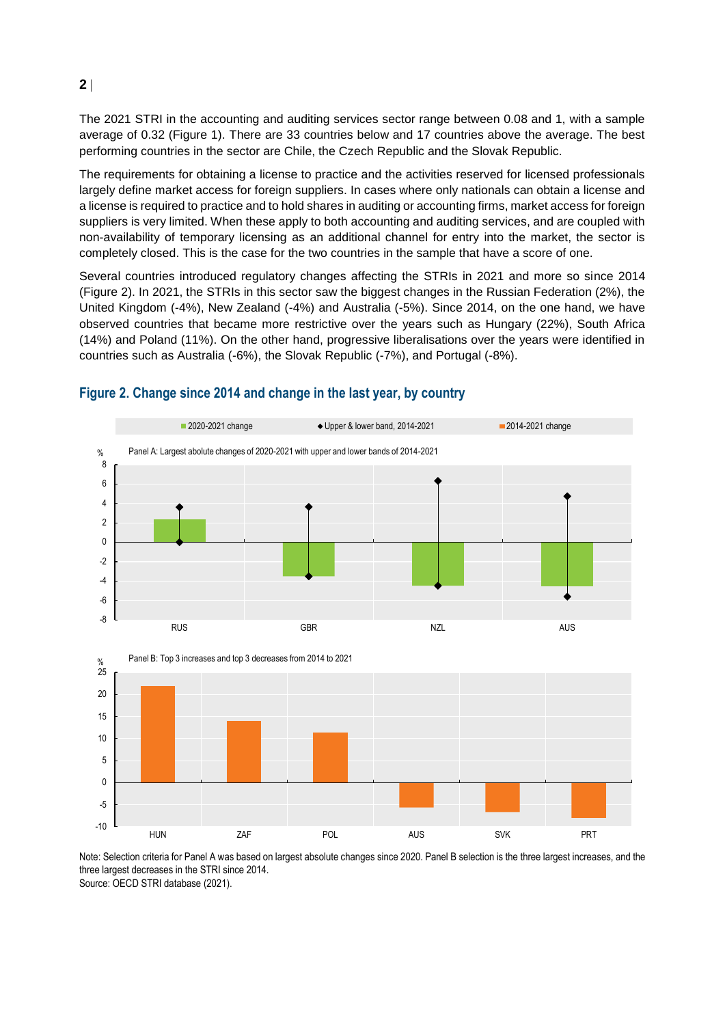The 2021 STRI in the accounting and auditing services sector range between 0.08 and 1, with a sample average of 0.32 (Figure 1). There are 33 countries below and 17 countries above the average. The best performing countries in the sector are Chile, the Czech Republic and the Slovak Republic.

The requirements for obtaining a license to practice and the activities reserved for licensed professionals largely define market access for foreign suppliers. In cases where only nationals can obtain a license and a license is required to practice and to hold shares in auditing or accounting firms, market access for foreign suppliers is very limited. When these apply to both accounting and auditing services, and are coupled with non-availability of temporary licensing as an additional channel for entry into the market, the sector is completely closed. This is the case for the two countries in the sample that have a score of one.

Several countries introduced regulatory changes affecting the STRIs in 2021 and more so since 2014 (Figure 2). In 2021, the STRIs in this sector saw the biggest changes in the Russian Federation (2%), the United Kingdom (-4%), New Zealand (-4%) and Australia (-5%). Since 2014, on the one hand, we have observed countries that became more restrictive over the years such as Hungary (22%), South Africa (14%) and Poland (11%). On the other hand, progressive liberalisations over the years were identified in countries such as Australia (-6%), the Slovak Republic (-7%), and Portugal (-8%).



### **Figure 2. Change since 2014 and change in the last year, by country**

Note: Selection criteria for Panel A was based on largest absolute changes since 2020. Panel B selection is the three largest increases, and the three largest decreases in the STRI since 2014.

Source: OECD STRI database (2021).

**2**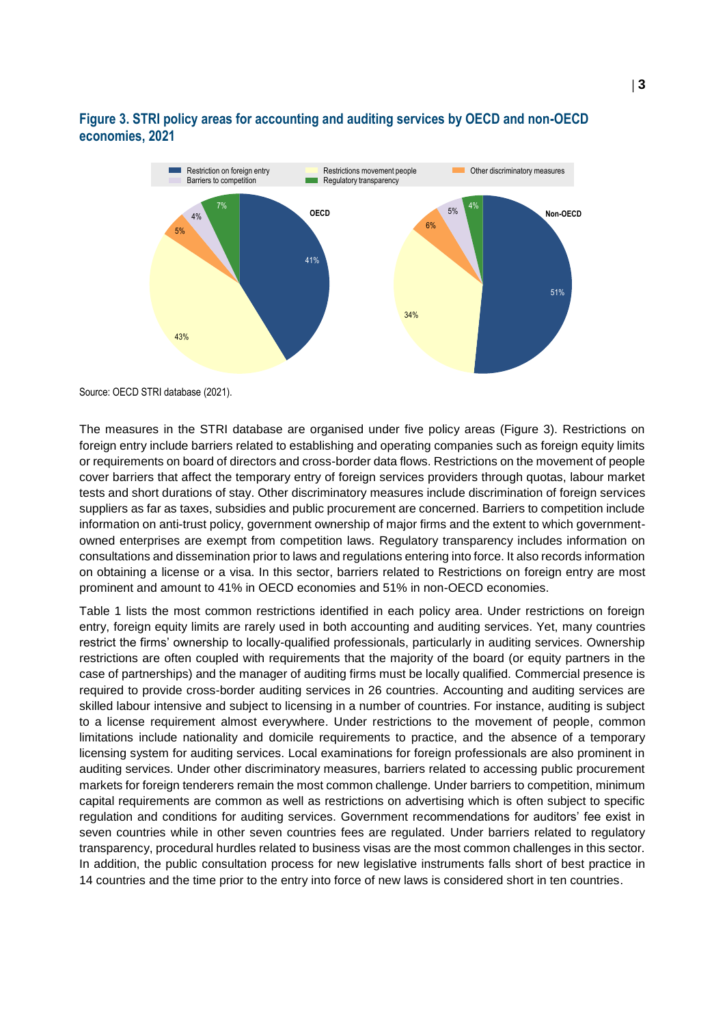### **Figure 3. STRI policy areas for accounting and auditing services by OECD and non-OECD economies, 2021**



Source: OECD STRI database (2021).

The measures in the STRI database are organised under five policy areas (Figure 3). Restrictions on foreign entry include barriers related to establishing and operating companies such as foreign equity limits or requirements on board of directors and cross-border data flows. Restrictions on the movement of people cover barriers that affect the temporary entry of foreign services providers through quotas, labour market tests and short durations of stay. Other discriminatory measures include discrimination of foreign services suppliers as far as taxes, subsidies and public procurement are concerned. Barriers to competition include information on anti-trust policy, government ownership of major firms and the extent to which governmentowned enterprises are exempt from competition laws. Regulatory transparency includes information on consultations and dissemination prior to laws and regulations entering into force. It also records information on obtaining a license or a visa. In this sector, barriers related to Restrictions on foreign entry are most prominent and amount to 41% in OECD economies and 51% in non-OECD economies.

Table 1 lists the most common restrictions identified in each policy area. Under restrictions on foreign entry, foreign equity limits are rarely used in both accounting and auditing services. Yet, many countries restrict the firms' ownership to locally-qualified professionals, particularly in auditing services. Ownership restrictions are often coupled with requirements that the majority of the board (or equity partners in the case of partnerships) and the manager of auditing firms must be locally qualified. Commercial presence is required to provide cross-border auditing services in 26 countries. Accounting and auditing services are skilled labour intensive and subject to licensing in a number of countries. For instance, auditing is subject to a license requirement almost everywhere. Under restrictions to the movement of people, common limitations include nationality and domicile requirements to practice, and the absence of a temporary licensing system for auditing services. Local examinations for foreign professionals are also prominent in auditing services. Under other discriminatory measures, barriers related to accessing public procurement markets for foreign tenderers remain the most common challenge. Under barriers to competition, minimum capital requirements are common as well as restrictions on advertising which is often subject to specific regulation and conditions for auditing services. Government recommendations for auditors' fee exist in seven countries while in other seven countries fees are regulated. Under barriers related to regulatory transparency, procedural hurdles related to business visas are the most common challenges in this sector. In addition, the public consultation process for new legislative instruments falls short of best practice in 14 countries and the time prior to the entry into force of new laws is considered short in ten countries.